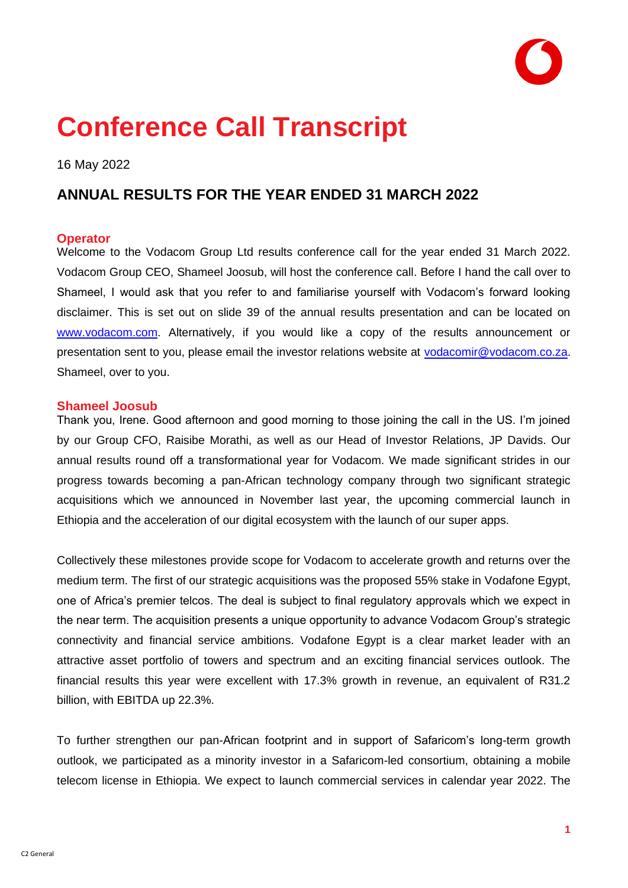# **Conference Call Transcript**

16 May 2022

## **ANNUAL RESULTS FOR THE YEAR ENDED 31 MARCH 2022**

## **Operator**

Welcome to the Vodacom Group Ltd results conference call for the year ended 31 March 2022. Vodacom Group CEO, Shameel Joosub, will host the conference call. Before I hand the call over to Shameel, I would ask that you refer to and familiarise yourself with Vodacom's forward looking disclaimer. This is set out on slide 39 of the annual results presentation and can be located on [www.vodacom.com.](http://www.vodacom.com/) Alternatively, if you would like a copy of the results announcement or presentation sent to you, please email the investor relations website at [vodacomir@vodacom.co.za.](mailto:vodacomir@vodacom.co.za) Shameel, over to you.

## **Shameel Joosub**

Thank you, Irene. Good afternoon and good morning to those joining the call in the US. I'm joined by our Group CFO, Raisibe Morathi, as well as our Head of Investor Relations, JP Davids. Our annual results round off a transformational year for Vodacom. We made significant strides in our progress towards becoming a pan-African technology company through two significant strategic acquisitions which we announced in November last year, the upcoming commercial launch in Ethiopia and the acceleration of our digital ecosystem with the launch of our super apps.

Collectively these milestones provide scope for Vodacom to accelerate growth and returns over the medium term. The first of our strategic acquisitions was the proposed 55% stake in Vodafone Egypt, one of Africa's premier telcos. The deal is subject to final regulatory approvals which we expect in the near term. The acquisition presents a unique opportunity to advance Vodacom Group's strategic connectivity and financial service ambitions. Vodafone Egypt is a clear market leader with an attractive asset portfolio of towers and spectrum and an exciting financial services outlook. The financial results this year were excellent with 17.3% growth in revenue, an equivalent of R31.2 billion, with EBITDA up 22.3%.

To further strengthen our pan-African footprint and in support of Safaricom's long-term growth outlook, we participated as a minority investor in a Safaricom-led consortium, obtaining a mobile telecom license in Ethiopia. We expect to launch commercial services in calendar year 2022. The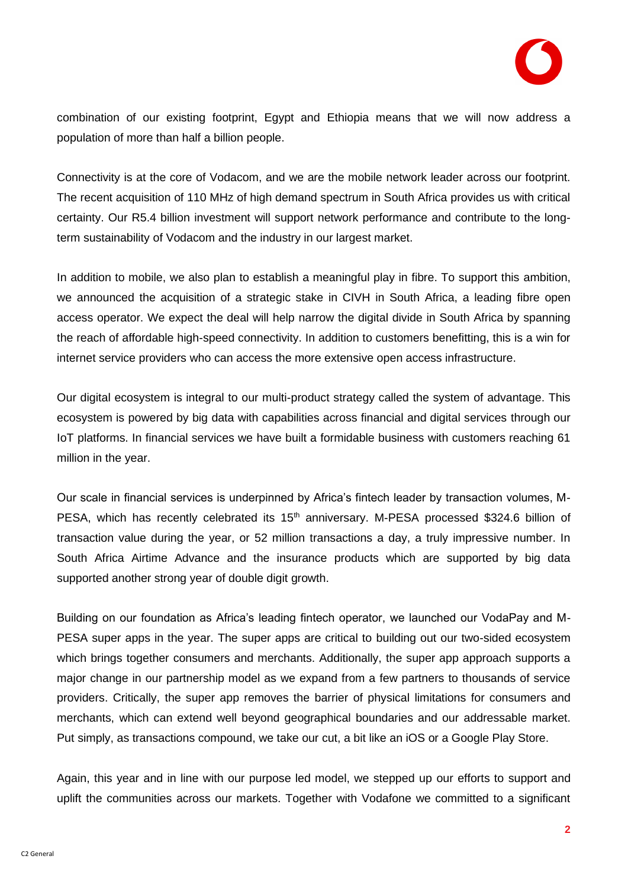

combination of our existing footprint, Egypt and Ethiopia means that we will now address a population of more than half a billion people.

Connectivity is at the core of Vodacom, and we are the mobile network leader across our footprint. The recent acquisition of 110 MHz of high demand spectrum in South Africa provides us with critical certainty. Our R5.4 billion investment will support network performance and contribute to the longterm sustainability of Vodacom and the industry in our largest market.

In addition to mobile, we also plan to establish a meaningful play in fibre. To support this ambition, we announced the acquisition of a strategic stake in CIVH in South Africa, a leading fibre open access operator. We expect the deal will help narrow the digital divide in South Africa by spanning the reach of affordable high-speed connectivity. In addition to customers benefitting, this is a win for internet service providers who can access the more extensive open access infrastructure.

Our digital ecosystem is integral to our multi-product strategy called the system of advantage. This ecosystem is powered by big data with capabilities across financial and digital services through our IoT platforms. In financial services we have built a formidable business with customers reaching 61 million in the year.

Our scale in financial services is underpinned by Africa's fintech leader by transaction volumes, M-PESA, which has recently celebrated its  $15<sup>th</sup>$  anniversary. M-PESA processed \$324.6 billion of transaction value during the year, or 52 million transactions a day, a truly impressive number. In South Africa Airtime Advance and the insurance products which are supported by big data supported another strong year of double digit growth.

Building on our foundation as Africa's leading fintech operator, we launched our VodaPay and M-PESA super apps in the year. The super apps are critical to building out our two-sided ecosystem which brings together consumers and merchants. Additionally, the super app approach supports a major change in our partnership model as we expand from a few partners to thousands of service providers. Critically, the super app removes the barrier of physical limitations for consumers and merchants, which can extend well beyond geographical boundaries and our addressable market. Put simply, as transactions compound, we take our cut, a bit like an iOS or a Google Play Store.

Again, this year and in line with our purpose led model, we stepped up our efforts to support and uplift the communities across our markets. Together with Vodafone we committed to a significant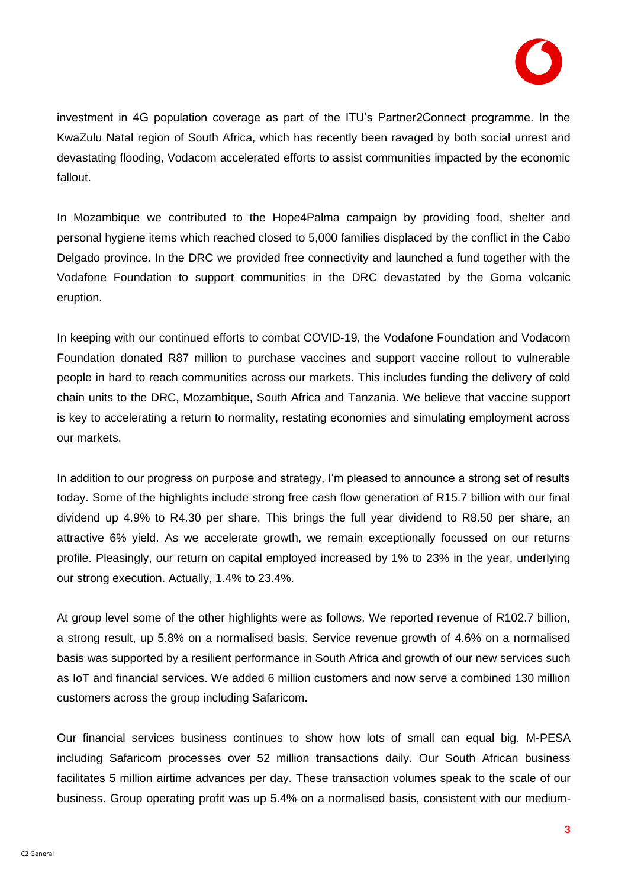

investment in 4G population coverage as part of the ITU's Partner2Connect programme. In the KwaZulu Natal region of South Africa, which has recently been ravaged by both social unrest and devastating flooding, Vodacom accelerated efforts to assist communities impacted by the economic fallout.

In Mozambique we contributed to the Hope4Palma campaign by providing food, shelter and personal hygiene items which reached closed to 5,000 families displaced by the conflict in the Cabo Delgado province. In the DRC we provided free connectivity and launched a fund together with the Vodafone Foundation to support communities in the DRC devastated by the Goma volcanic eruption.

In keeping with our continued efforts to combat COVID-19, the Vodafone Foundation and Vodacom Foundation donated R87 million to purchase vaccines and support vaccine rollout to vulnerable people in hard to reach communities across our markets. This includes funding the delivery of cold chain units to the DRC, Mozambique, South Africa and Tanzania. We believe that vaccine support is key to accelerating a return to normality, restating economies and simulating employment across our markets.

In addition to our progress on purpose and strategy, I'm pleased to announce a strong set of results today. Some of the highlights include strong free cash flow generation of R15.7 billion with our final dividend up 4.9% to R4.30 per share. This brings the full year dividend to R8.50 per share, an attractive 6% yield. As we accelerate growth, we remain exceptionally focussed on our returns profile. Pleasingly, our return on capital employed increased by 1% to 23% in the year, underlying our strong execution. Actually, 1.4% to 23.4%.

At group level some of the other highlights were as follows. We reported revenue of R102.7 billion, a strong result, up 5.8% on a normalised basis. Service revenue growth of 4.6% on a normalised basis was supported by a resilient performance in South Africa and growth of our new services such as IoT and financial services. We added 6 million customers and now serve a combined 130 million customers across the group including Safaricom.

Our financial services business continues to show how lots of small can equal big. M-PESA including Safaricom processes over 52 million transactions daily. Our South African business facilitates 5 million airtime advances per day. These transaction volumes speak to the scale of our business. Group operating profit was up 5.4% on a normalised basis, consistent with our medium-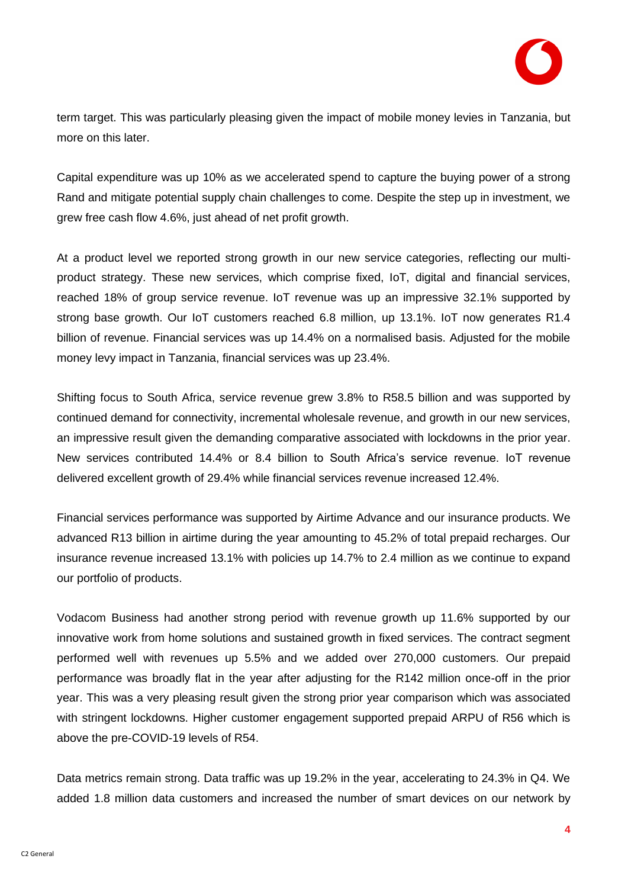

term target. This was particularly pleasing given the impact of mobile money levies in Tanzania, but more on this later.

Capital expenditure was up 10% as we accelerated spend to capture the buying power of a strong Rand and mitigate potential supply chain challenges to come. Despite the step up in investment, we grew free cash flow 4.6%, just ahead of net profit growth.

At a product level we reported strong growth in our new service categories, reflecting our multiproduct strategy. These new services, which comprise fixed, IoT, digital and financial services, reached 18% of group service revenue. IoT revenue was up an impressive 32.1% supported by strong base growth. Our IoT customers reached 6.8 million, up 13.1%. IoT now generates R1.4 billion of revenue. Financial services was up 14.4% on a normalised basis. Adjusted for the mobile money levy impact in Tanzania, financial services was up 23.4%.

Shifting focus to South Africa, service revenue grew 3.8% to R58.5 billion and was supported by continued demand for connectivity, incremental wholesale revenue, and growth in our new services, an impressive result given the demanding comparative associated with lockdowns in the prior year. New services contributed 14.4% or 8.4 billion to South Africa's service revenue. IoT revenue delivered excellent growth of 29.4% while financial services revenue increased 12.4%.

Financial services performance was supported by Airtime Advance and our insurance products. We advanced R13 billion in airtime during the year amounting to 45.2% of total prepaid recharges. Our insurance revenue increased 13.1% with policies up 14.7% to 2.4 million as we continue to expand our portfolio of products.

Vodacom Business had another strong period with revenue growth up 11.6% supported by our innovative work from home solutions and sustained growth in fixed services. The contract segment performed well with revenues up 5.5% and we added over 270,000 customers. Our prepaid performance was broadly flat in the year after adjusting for the R142 million once-off in the prior year. This was a very pleasing result given the strong prior year comparison which was associated with stringent lockdowns. Higher customer engagement supported prepaid ARPU of R56 which is above the pre-COVID-19 levels of R54.

Data metrics remain strong. Data traffic was up 19.2% in the year, accelerating to 24.3% in Q4. We added 1.8 million data customers and increased the number of smart devices on our network by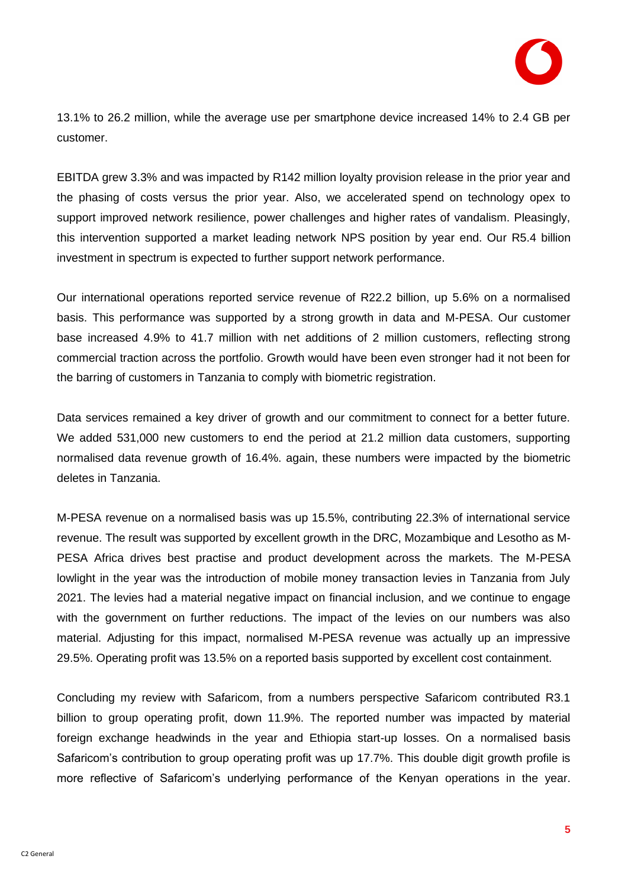

13.1% to 26.2 million, while the average use per smartphone device increased 14% to 2.4 GB per customer.

EBITDA grew 3.3% and was impacted by R142 million loyalty provision release in the prior year and the phasing of costs versus the prior year. Also, we accelerated spend on technology opex to support improved network resilience, power challenges and higher rates of vandalism. Pleasingly, this intervention supported a market leading network NPS position by year end. Our R5.4 billion investment in spectrum is expected to further support network performance.

Our international operations reported service revenue of R22.2 billion, up 5.6% on a normalised basis. This performance was supported by a strong growth in data and M-PESA. Our customer base increased 4.9% to 41.7 million with net additions of 2 million customers, reflecting strong commercial traction across the portfolio. Growth would have been even stronger had it not been for the barring of customers in Tanzania to comply with biometric registration.

Data services remained a key driver of growth and our commitment to connect for a better future. We added 531,000 new customers to end the period at 21.2 million data customers, supporting normalised data revenue growth of 16.4%. again, these numbers were impacted by the biometric deletes in Tanzania.

M-PESA revenue on a normalised basis was up 15.5%, contributing 22.3% of international service revenue. The result was supported by excellent growth in the DRC, Mozambique and Lesotho as M-PESA Africa drives best practise and product development across the markets. The M-PESA lowlight in the year was the introduction of mobile money transaction levies in Tanzania from July 2021. The levies had a material negative impact on financial inclusion, and we continue to engage with the government on further reductions. The impact of the levies on our numbers was also material. Adjusting for this impact, normalised M-PESA revenue was actually up an impressive 29.5%. Operating profit was 13.5% on a reported basis supported by excellent cost containment.

Concluding my review with Safaricom, from a numbers perspective Safaricom contributed R3.1 billion to group operating profit, down 11.9%. The reported number was impacted by material foreign exchange headwinds in the year and Ethiopia start-up losses. On a normalised basis Safaricom's contribution to group operating profit was up 17.7%. This double digit growth profile is more reflective of Safaricom's underlying performance of the Kenyan operations in the year.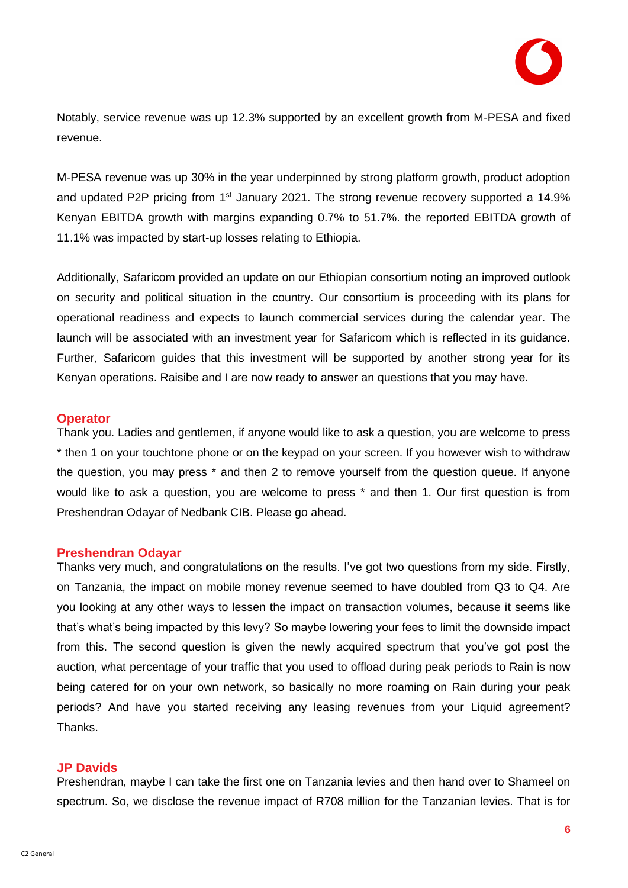Notably, service revenue was up 12.3% supported by an excellent growth from M-PESA and fixed revenue.

M-PESA revenue was up 30% in the year underpinned by strong platform growth, product adoption and updated P2P pricing from  $1<sup>st</sup>$  January 2021. The strong revenue recovery supported a 14.9% Kenyan EBITDA growth with margins expanding 0.7% to 51.7%. the reported EBITDA growth of 11.1% was impacted by start-up losses relating to Ethiopia.

Additionally, Safaricom provided an update on our Ethiopian consortium noting an improved outlook on security and political situation in the country. Our consortium is proceeding with its plans for operational readiness and expects to launch commercial services during the calendar year. The launch will be associated with an investment year for Safaricom which is reflected in its guidance. Further, Safaricom guides that this investment will be supported by another strong year for its Kenyan operations. Raisibe and I are now ready to answer an questions that you may have.

## **Operator**

Thank you. Ladies and gentlemen, if anyone would like to ask a question, you are welcome to press \* then 1 on your touchtone phone or on the keypad on your screen. If you however wish to withdraw the question, you may press \* and then 2 to remove yourself from the question queue. If anyone would like to ask a question, you are welcome to press \* and then 1. Our first question is from Preshendran Odayar of Nedbank CIB. Please go ahead.

## **Preshendran Odayar**

Thanks very much, and congratulations on the results. I've got two questions from my side. Firstly, on Tanzania, the impact on mobile money revenue seemed to have doubled from Q3 to Q4. Are you looking at any other ways to lessen the impact on transaction volumes, because it seems like that's what's being impacted by this levy? So maybe lowering your fees to limit the downside impact from this. The second question is given the newly acquired spectrum that you've got post the auction, what percentage of your traffic that you used to offload during peak periods to Rain is now being catered for on your own network, so basically no more roaming on Rain during your peak periods? And have you started receiving any leasing revenues from your Liquid agreement? Thanks.

## **JP Davids**

Preshendran, maybe I can take the first one on Tanzania levies and then hand over to Shameel on spectrum. So, we disclose the revenue impact of R708 million for the Tanzanian levies. That is for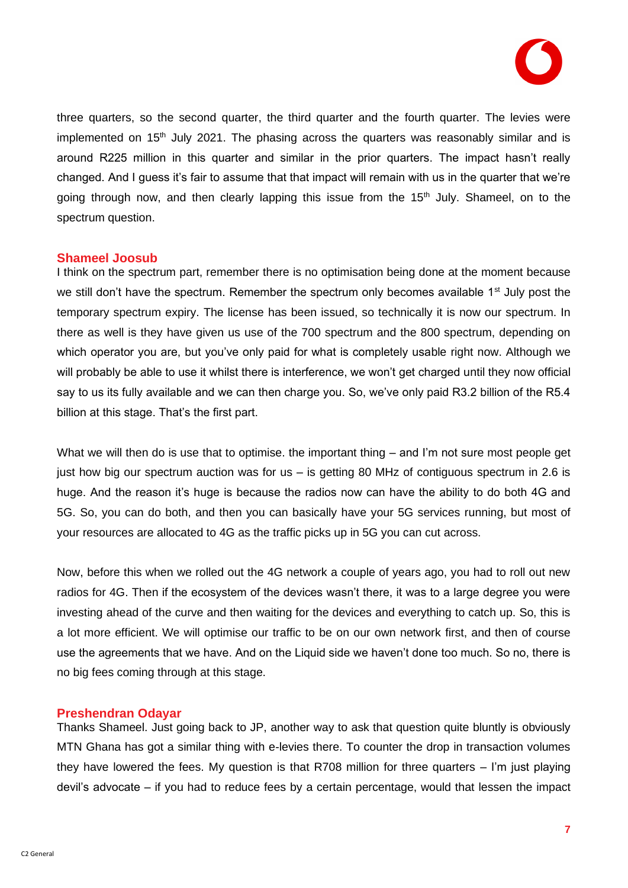

three quarters, so the second quarter, the third quarter and the fourth quarter. The levies were implemented on 15<sup>th</sup> July 2021. The phasing across the quarters was reasonably similar and is around R225 million in this quarter and similar in the prior quarters. The impact hasn't really changed. And I guess it's fair to assume that that impact will remain with us in the quarter that we're going through now, and then clearly lapping this issue from the 15<sup>th</sup> July. Shameel, on to the spectrum question.

#### **Shameel Joosub**

I think on the spectrum part, remember there is no optimisation being done at the moment because we still don't have the spectrum. Remember the spectrum only becomes available  $1<sup>st</sup>$  July post the temporary spectrum expiry. The license has been issued, so technically it is now our spectrum. In there as well is they have given us use of the 700 spectrum and the 800 spectrum, depending on which operator you are, but you've only paid for what is completely usable right now. Although we will probably be able to use it whilst there is interference, we won't get charged until they now official say to us its fully available and we can then charge you. So, we've only paid R3.2 billion of the R5.4 billion at this stage. That's the first part.

What we will then do is use that to optimise. the important thing – and I'm not sure most people get just how big our spectrum auction was for us – is getting 80 MHz of contiguous spectrum in 2.6 is huge. And the reason it's huge is because the radios now can have the ability to do both 4G and 5G. So, you can do both, and then you can basically have your 5G services running, but most of your resources are allocated to 4G as the traffic picks up in 5G you can cut across.

Now, before this when we rolled out the 4G network a couple of years ago, you had to roll out new radios for 4G. Then if the ecosystem of the devices wasn't there, it was to a large degree you were investing ahead of the curve and then waiting for the devices and everything to catch up. So, this is a lot more efficient. We will optimise our traffic to be on our own network first, and then of course use the agreements that we have. And on the Liquid side we haven't done too much. So no, there is no big fees coming through at this stage.

## **Preshendran Odayar**

Thanks Shameel. Just going back to JP, another way to ask that question quite bluntly is obviously MTN Ghana has got a similar thing with e-levies there. To counter the drop in transaction volumes they have lowered the fees. My question is that R708 million for three quarters – I'm just playing devil's advocate – if you had to reduce fees by a certain percentage, would that lessen the impact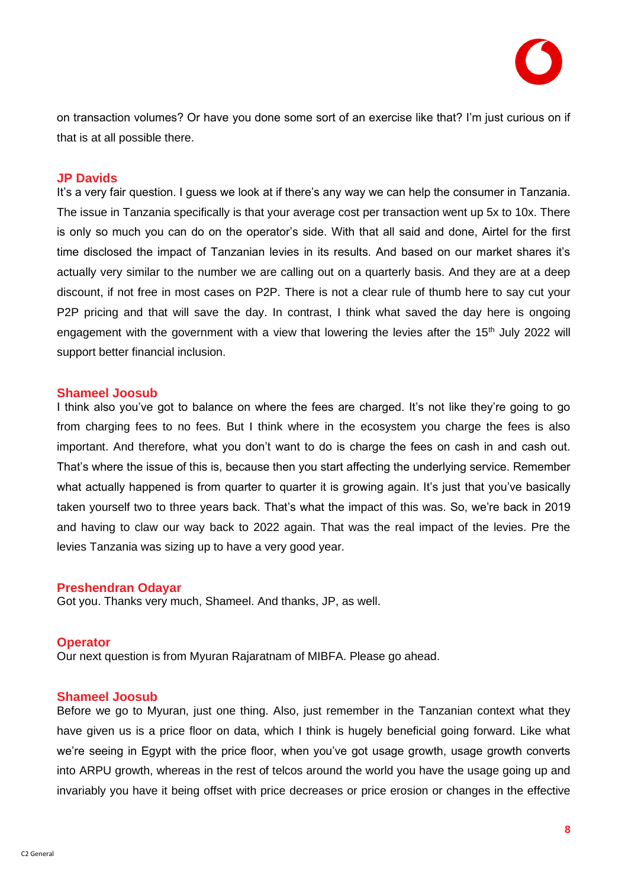

on transaction volumes? Or have you done some sort of an exercise like that? I'm just curious on if that is at all possible there.

#### **JP Davids**

It's a very fair question. I guess we look at if there's any way we can help the consumer in Tanzania. The issue in Tanzania specifically is that your average cost per transaction went up 5x to 10x. There is only so much you can do on the operator's side. With that all said and done, Airtel for the first time disclosed the impact of Tanzanian levies in its results. And based on our market shares it's actually very similar to the number we are calling out on a quarterly basis. And they are at a deep discount, if not free in most cases on P2P. There is not a clear rule of thumb here to say cut your P2P pricing and that will save the day. In contrast, I think what saved the day here is ongoing engagement with the government with a view that lowering the levies after the 15<sup>th</sup> July 2022 will support better financial inclusion.

#### **Shameel Joosub**

I think also you've got to balance on where the fees are charged. It's not like they're going to go from charging fees to no fees. But I think where in the ecosystem you charge the fees is also important. And therefore, what you don't want to do is charge the fees on cash in and cash out. That's where the issue of this is, because then you start affecting the underlying service. Remember what actually happened is from quarter to quarter it is growing again. It's just that you've basically taken yourself two to three years back. That's what the impact of this was. So, we're back in 2019 and having to claw our way back to 2022 again. That was the real impact of the levies. Pre the levies Tanzania was sizing up to have a very good year.

#### **Preshendran Odayar**

Got you. Thanks very much, Shameel. And thanks, JP, as well.

#### **Operator**

Our next question is from Myuran Rajaratnam of MIBFA. Please go ahead.

#### **Shameel Joosub**

Before we go to Myuran, just one thing. Also, just remember in the Tanzanian context what they have given us is a price floor on data, which I think is hugely beneficial going forward. Like what we're seeing in Egypt with the price floor, when you've got usage growth, usage growth converts into ARPU growth, whereas in the rest of telcos around the world you have the usage going up and invariably you have it being offset with price decreases or price erosion or changes in the effective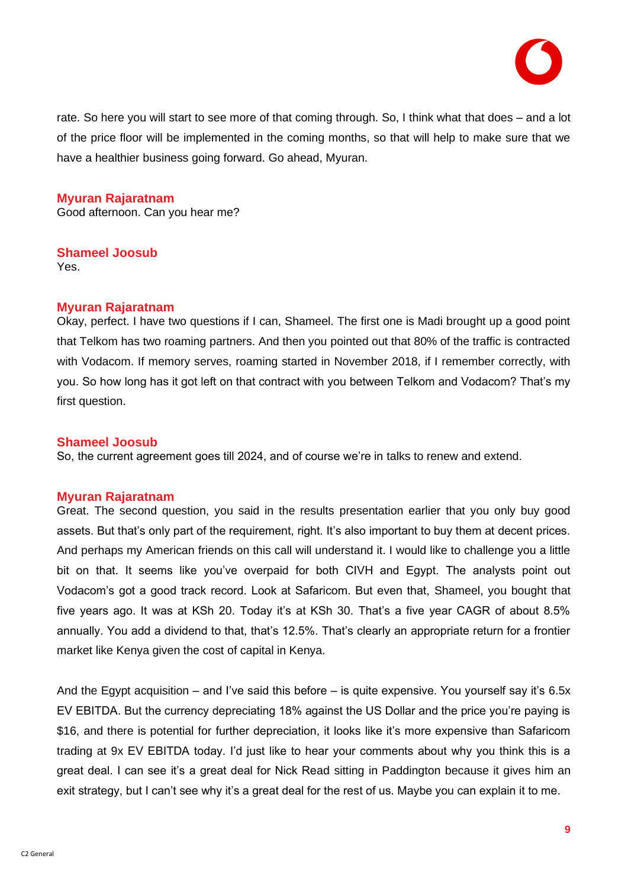

rate. So here you will start to see more of that coming through. So, I think what that does – and a lot of the price floor will be implemented in the coming months, so that will help to make sure that we have a healthier business going forward. Go ahead, Myuran.

## **Myuran Rajaratnam**

Good afternoon. Can you hear me?

## **Shameel Joosub**

Yes.

## **Myuran Rajaratnam**

Okay, perfect. I have two questions if I can, Shameel. The first one is Madi brought up a good point that Telkom has two roaming partners. And then you pointed out that 80% of the traffic is contracted with Vodacom. If memory serves, roaming started in November 2018, if I remember correctly, with you. So how long has it got left on that contract with you between Telkom and Vodacom? That's my first question.

## **Shameel Joosub**

So, the current agreement goes till 2024, and of course we're in talks to renew and extend.

## **Myuran Rajaratnam**

Great. The second question, you said in the results presentation earlier that you only buy good assets. But that's only part of the requirement, right. It's also important to buy them at decent prices. And perhaps my American friends on this call will understand it. I would like to challenge you a little bit on that. It seems like you've overpaid for both CIVH and Egypt. The analysts point out Vodacom's got a good track record. Look at Safaricom. But even that, Shameel, you bought that five years ago. It was at KSh 20. Today it's at KSh 30. That's a five year CAGR of about 8.5% annually. You add a dividend to that, that's 12.5%. That's clearly an appropriate return for a frontier market like Kenya given the cost of capital in Kenya.

And the Egypt acquisition – and I've said this before – is quite expensive. You yourself say it's 6.5x EV EBITDA. But the currency depreciating 18% against the US Dollar and the price you're paying is \$16, and there is potential for further depreciation, it looks like it's more expensive than Safaricom trading at 9x EV EBITDA today. I'd just like to hear your comments about why you think this is a great deal. I can see it's a great deal for Nick Read sitting in Paddington because it gives him an exit strategy, but I can't see why it's a great deal for the rest of us. Maybe you can explain it to me.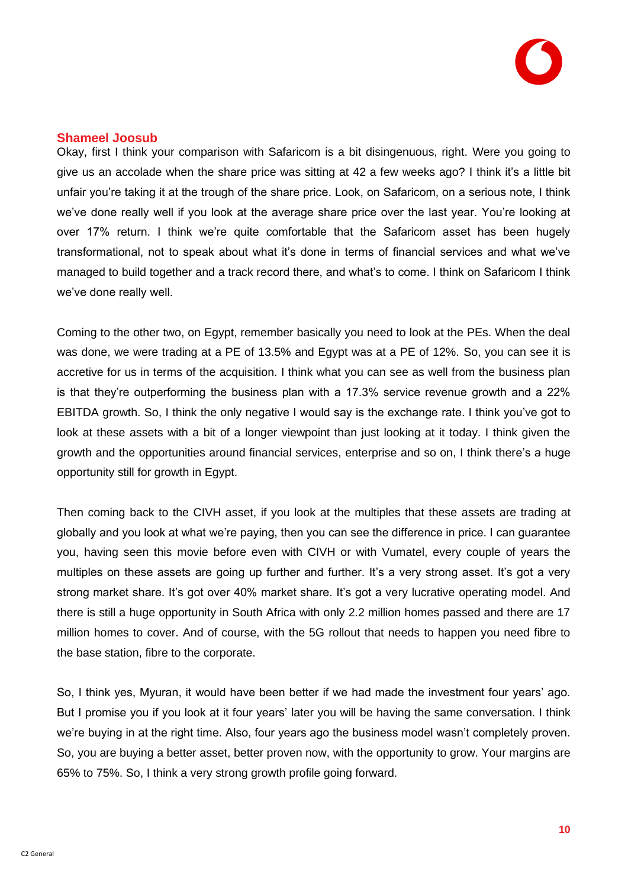

## **Shameel Joosub**

Okay, first I think your comparison with Safaricom is a bit disingenuous, right. Were you going to give us an accolade when the share price was sitting at 42 a few weeks ago? I think it's a little bit unfair you're taking it at the trough of the share price. Look, on Safaricom, on a serious note, I think we've done really well if you look at the average share price over the last year. You're looking at over 17% return. I think we're quite comfortable that the Safaricom asset has been hugely transformational, not to speak about what it's done in terms of financial services and what we've managed to build together and a track record there, and what's to come. I think on Safaricom I think we've done really well.

Coming to the other two, on Egypt, remember basically you need to look at the PEs. When the deal was done, we were trading at a PE of 13.5% and Egypt was at a PE of 12%. So, you can see it is accretive for us in terms of the acquisition. I think what you can see as well from the business plan is that they're outperforming the business plan with a 17.3% service revenue growth and a 22% EBITDA growth. So, I think the only negative I would say is the exchange rate. I think you've got to look at these assets with a bit of a longer viewpoint than just looking at it today. I think given the growth and the opportunities around financial services, enterprise and so on, I think there's a huge opportunity still for growth in Egypt.

Then coming back to the CIVH asset, if you look at the multiples that these assets are trading at globally and you look at what we're paying, then you can see the difference in price. I can guarantee you, having seen this movie before even with CIVH or with Vumatel, every couple of years the multiples on these assets are going up further and further. It's a very strong asset. It's got a very strong market share. It's got over 40% market share. It's got a very lucrative operating model. And there is still a huge opportunity in South Africa with only 2.2 million homes passed and there are 17 million homes to cover. And of course, with the 5G rollout that needs to happen you need fibre to the base station, fibre to the corporate.

So, I think yes, Myuran, it would have been better if we had made the investment four years' ago. But I promise you if you look at it four years' later you will be having the same conversation. I think we're buying in at the right time. Also, four years ago the business model wasn't completely proven. So, you are buying a better asset, better proven now, with the opportunity to grow. Your margins are 65% to 75%. So, I think a very strong growth profile going forward.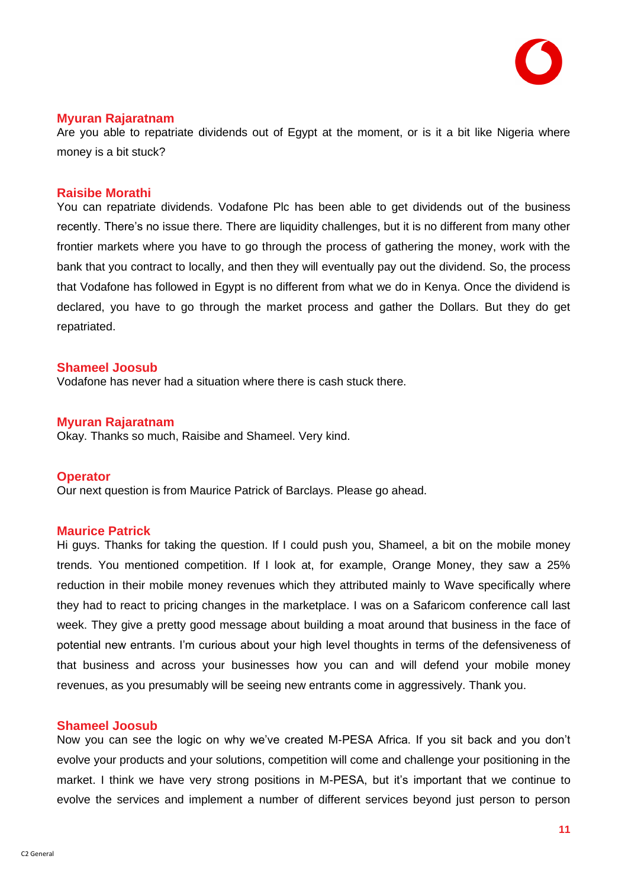

## **Myuran Rajaratnam**

Are you able to repatriate dividends out of Egypt at the moment, or is it a bit like Nigeria where money is a bit stuck?

#### **Raisibe Morathi**

You can repatriate dividends. Vodafone Plc has been able to get dividends out of the business recently. There's no issue there. There are liquidity challenges, but it is no different from many other frontier markets where you have to go through the process of gathering the money, work with the bank that you contract to locally, and then they will eventually pay out the dividend. So, the process that Vodafone has followed in Egypt is no different from what we do in Kenya. Once the dividend is declared, you have to go through the market process and gather the Dollars. But they do get repatriated.

#### **Shameel Joosub**

Vodafone has never had a situation where there is cash stuck there.

#### **Myuran Rajaratnam**

Okay. Thanks so much, Raisibe and Shameel. Very kind.

#### **Operator**

Our next question is from Maurice Patrick of Barclays. Please go ahead.

#### **Maurice Patrick**

Hi guys. Thanks for taking the question. If I could push you, Shameel, a bit on the mobile money trends. You mentioned competition. If I look at, for example, Orange Money, they saw a 25% reduction in their mobile money revenues which they attributed mainly to Wave specifically where they had to react to pricing changes in the marketplace. I was on a Safaricom conference call last week. They give a pretty good message about building a moat around that business in the face of potential new entrants. I'm curious about your high level thoughts in terms of the defensiveness of that business and across your businesses how you can and will defend your mobile money revenues, as you presumably will be seeing new entrants come in aggressively. Thank you.

#### **Shameel Joosub**

Now you can see the logic on why we've created M-PESA Africa. If you sit back and you don't evolve your products and your solutions, competition will come and challenge your positioning in the market. I think we have very strong positions in M-PESA, but it's important that we continue to evolve the services and implement a number of different services beyond just person to person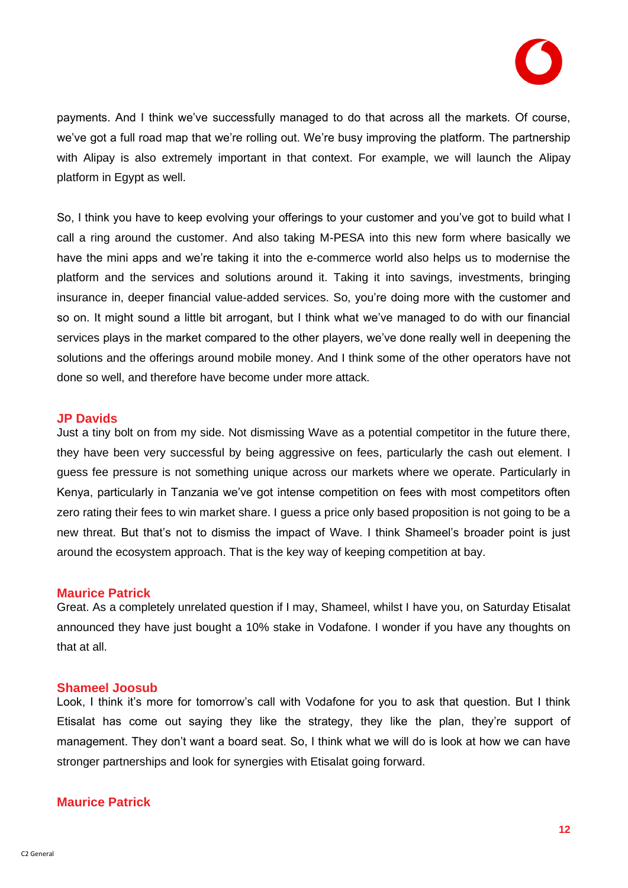

payments. And I think we've successfully managed to do that across all the markets. Of course, we've got a full road map that we're rolling out. We're busy improving the platform. The partnership with Alipay is also extremely important in that context. For example, we will launch the Alipay platform in Egypt as well.

So, I think you have to keep evolving your offerings to your customer and you've got to build what I call a ring around the customer. And also taking M-PESA into this new form where basically we have the mini apps and we're taking it into the e-commerce world also helps us to modernise the platform and the services and solutions around it. Taking it into savings, investments, bringing insurance in, deeper financial value-added services. So, you're doing more with the customer and so on. It might sound a little bit arrogant, but I think what we've managed to do with our financial services plays in the market compared to the other players, we've done really well in deepening the solutions and the offerings around mobile money. And I think some of the other operators have not done so well, and therefore have become under more attack.

#### **JP Davids**

Just a tiny bolt on from my side. Not dismissing Wave as a potential competitor in the future there, they have been very successful by being aggressive on fees, particularly the cash out element. I guess fee pressure is not something unique across our markets where we operate. Particularly in Kenya, particularly in Tanzania we've got intense competition on fees with most competitors often zero rating their fees to win market share. I guess a price only based proposition is not going to be a new threat. But that's not to dismiss the impact of Wave. I think Shameel's broader point is just around the ecosystem approach. That is the key way of keeping competition at bay.

#### **Maurice Patrick**

Great. As a completely unrelated question if I may, Shameel, whilst I have you, on Saturday Etisalat announced they have just bought a 10% stake in Vodafone. I wonder if you have any thoughts on that at all.

#### **Shameel Joosub**

Look, I think it's more for tomorrow's call with Vodafone for you to ask that question. But I think Etisalat has come out saying they like the strategy, they like the plan, they're support of management. They don't want a board seat. So, I think what we will do is look at how we can have stronger partnerships and look for synergies with Etisalat going forward.

## **Maurice Patrick**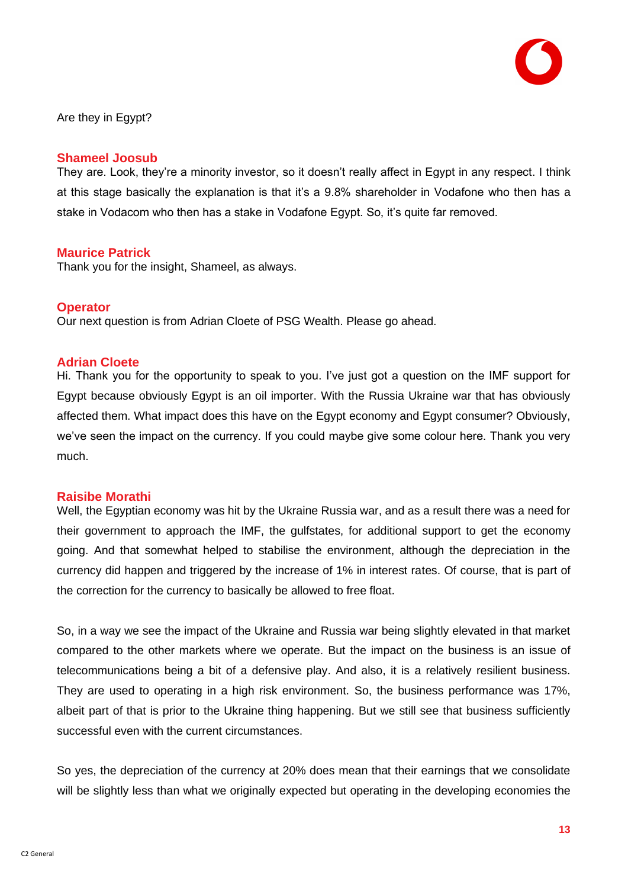Are they in Egypt?

## **Shameel Joosub**

They are. Look, they're a minority investor, so it doesn't really affect in Egypt in any respect. I think at this stage basically the explanation is that it's a 9.8% shareholder in Vodafone who then has a stake in Vodacom who then has a stake in Vodafone Egypt. So, it's quite far removed.

## **Maurice Patrick**

Thank you for the insight, Shameel, as always.

## **Operator**

Our next question is from Adrian Cloete of PSG Wealth. Please go ahead.

## **Adrian Cloete**

Hi. Thank you for the opportunity to speak to you. I've just got a question on the IMF support for Egypt because obviously Egypt is an oil importer. With the Russia Ukraine war that has obviously affected them. What impact does this have on the Egypt economy and Egypt consumer? Obviously, we've seen the impact on the currency. If you could maybe give some colour here. Thank you very much.

## **Raisibe Morathi**

Well, the Egyptian economy was hit by the Ukraine Russia war, and as a result there was a need for their government to approach the IMF, the gulfstates, for additional support to get the economy going. And that somewhat helped to stabilise the environment, although the depreciation in the currency did happen and triggered by the increase of 1% in interest rates. Of course, that is part of the correction for the currency to basically be allowed to free float.

So, in a way we see the impact of the Ukraine and Russia war being slightly elevated in that market compared to the other markets where we operate. But the impact on the business is an issue of telecommunications being a bit of a defensive play. And also, it is a relatively resilient business. They are used to operating in a high risk environment. So, the business performance was 17%, albeit part of that is prior to the Ukraine thing happening. But we still see that business sufficiently successful even with the current circumstances.

So yes, the depreciation of the currency at 20% does mean that their earnings that we consolidate will be slightly less than what we originally expected but operating in the developing economies the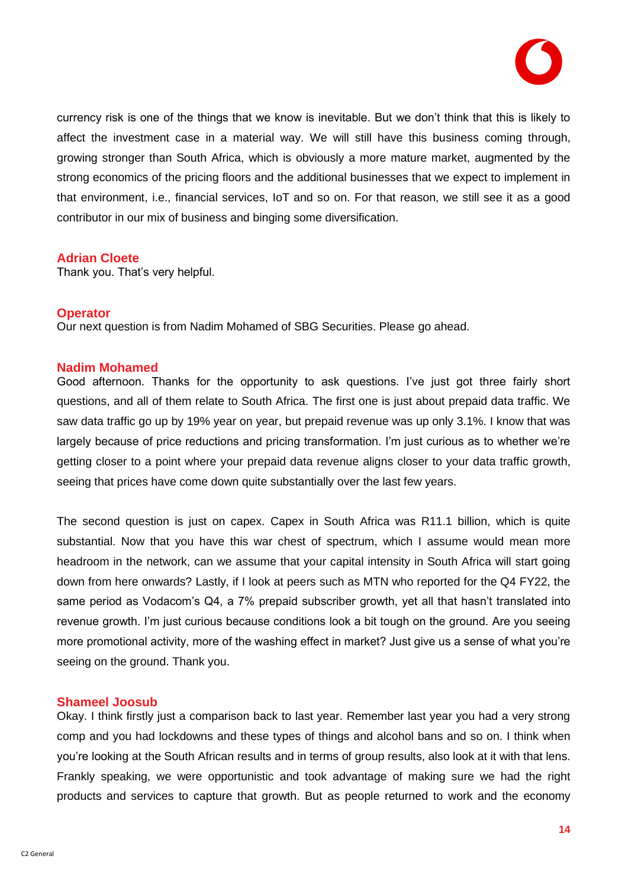

currency risk is one of the things that we know is inevitable. But we don't think that this is likely to affect the investment case in a material way. We will still have this business coming through, growing stronger than South Africa, which is obviously a more mature market, augmented by the strong economics of the pricing floors and the additional businesses that we expect to implement in that environment, i.e., financial services, IoT and so on. For that reason, we still see it as a good contributor in our mix of business and binging some diversification.

## **Adrian Cloete**

Thank you. That's very helpful.

#### **Operator**

Our next question is from Nadim Mohamed of SBG Securities. Please go ahead.

#### **Nadim Mohamed**

Good afternoon. Thanks for the opportunity to ask questions. I've just got three fairly short questions, and all of them relate to South Africa. The first one is just about prepaid data traffic. We saw data traffic go up by 19% year on year, but prepaid revenue was up only 3.1%. I know that was largely because of price reductions and pricing transformation. I'm just curious as to whether we're getting closer to a point where your prepaid data revenue aligns closer to your data traffic growth, seeing that prices have come down quite substantially over the last few years.

The second question is just on capex. Capex in South Africa was R11.1 billion, which is quite substantial. Now that you have this war chest of spectrum, which I assume would mean more headroom in the network, can we assume that your capital intensity in South Africa will start going down from here onwards? Lastly, if I look at peers such as MTN who reported for the Q4 FY22, the same period as Vodacom's Q4, a 7% prepaid subscriber growth, yet all that hasn't translated into revenue growth. I'm just curious because conditions look a bit tough on the ground. Are you seeing more promotional activity, more of the washing effect in market? Just give us a sense of what you're seeing on the ground. Thank you.

#### **Shameel Joosub**

Okay. I think firstly just a comparison back to last year. Remember last year you had a very strong comp and you had lockdowns and these types of things and alcohol bans and so on. I think when you're looking at the South African results and in terms of group results, also look at it with that lens. Frankly speaking, we were opportunistic and took advantage of making sure we had the right products and services to capture that growth. But as people returned to work and the economy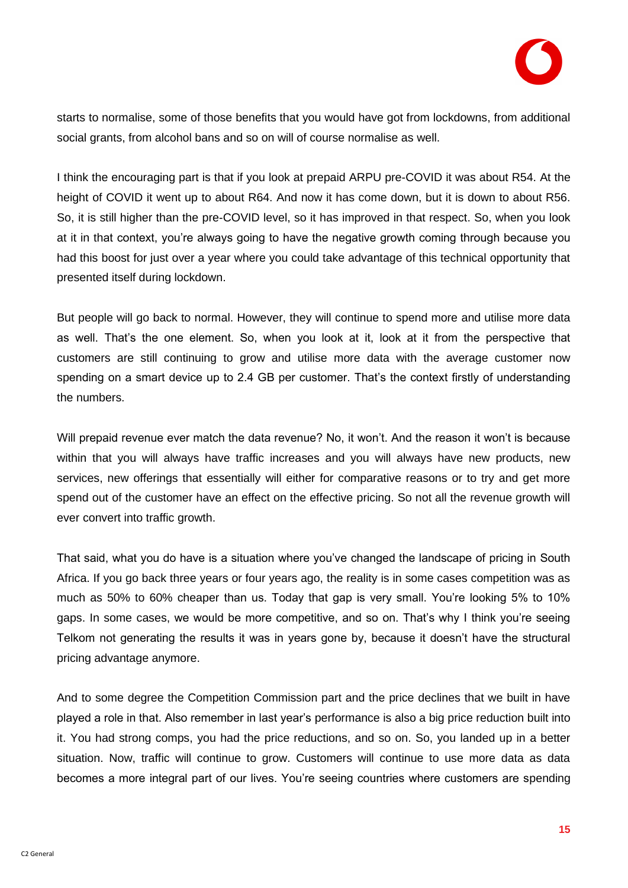starts to normalise, some of those benefits that you would have got from lockdowns, from additional social grants, from alcohol bans and so on will of course normalise as well.

I think the encouraging part is that if you look at prepaid ARPU pre-COVID it was about R54. At the height of COVID it went up to about R64. And now it has come down, but it is down to about R56. So, it is still higher than the pre-COVID level, so it has improved in that respect. So, when you look at it in that context, you're always going to have the negative growth coming through because you had this boost for just over a year where you could take advantage of this technical opportunity that presented itself during lockdown.

But people will go back to normal. However, they will continue to spend more and utilise more data as well. That's the one element. So, when you look at it, look at it from the perspective that customers are still continuing to grow and utilise more data with the average customer now spending on a smart device up to 2.4 GB per customer. That's the context firstly of understanding the numbers.

Will prepaid revenue ever match the data revenue? No, it won't. And the reason it won't is because within that you will always have traffic increases and you will always have new products, new services, new offerings that essentially will either for comparative reasons or to try and get more spend out of the customer have an effect on the effective pricing. So not all the revenue growth will ever convert into traffic growth.

That said, what you do have is a situation where you've changed the landscape of pricing in South Africa. If you go back three years or four years ago, the reality is in some cases competition was as much as 50% to 60% cheaper than us. Today that gap is very small. You're looking 5% to 10% gaps. In some cases, we would be more competitive, and so on. That's why I think you're seeing Telkom not generating the results it was in years gone by, because it doesn't have the structural pricing advantage anymore.

And to some degree the Competition Commission part and the price declines that we built in have played a role in that. Also remember in last year's performance is also a big price reduction built into it. You had strong comps, you had the price reductions, and so on. So, you landed up in a better situation. Now, traffic will continue to grow. Customers will continue to use more data as data becomes a more integral part of our lives. You're seeing countries where customers are spending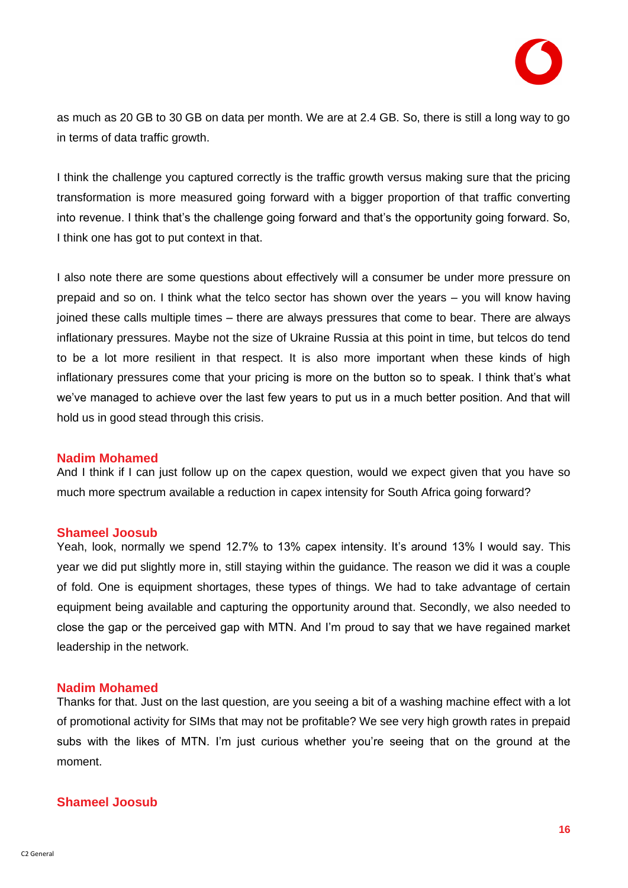as much as 20 GB to 30 GB on data per month. We are at 2.4 GB. So, there is still a long way to go in terms of data traffic growth.

I think the challenge you captured correctly is the traffic growth versus making sure that the pricing transformation is more measured going forward with a bigger proportion of that traffic converting into revenue. I think that's the challenge going forward and that's the opportunity going forward. So, I think one has got to put context in that.

I also note there are some questions about effectively will a consumer be under more pressure on prepaid and so on. I think what the telco sector has shown over the years – you will know having joined these calls multiple times – there are always pressures that come to bear. There are always inflationary pressures. Maybe not the size of Ukraine Russia at this point in time, but telcos do tend to be a lot more resilient in that respect. It is also more important when these kinds of high inflationary pressures come that your pricing is more on the button so to speak. I think that's what we've managed to achieve over the last few years to put us in a much better position. And that will hold us in good stead through this crisis.

## **Nadim Mohamed**

And I think if I can just follow up on the capex question, would we expect given that you have so much more spectrum available a reduction in capex intensity for South Africa going forward?

## **Shameel Joosub**

Yeah, look, normally we spend 12.7% to 13% capex intensity. It's around 13% I would say. This year we did put slightly more in, still staying within the guidance. The reason we did it was a couple of fold. One is equipment shortages, these types of things. We had to take advantage of certain equipment being available and capturing the opportunity around that. Secondly, we also needed to close the gap or the perceived gap with MTN. And I'm proud to say that we have regained market leadership in the network.

## **Nadim Mohamed**

Thanks for that. Just on the last question, are you seeing a bit of a washing machine effect with a lot of promotional activity for SIMs that may not be profitable? We see very high growth rates in prepaid subs with the likes of MTN. I'm just curious whether you're seeing that on the ground at the moment.

## **Shameel Joosub**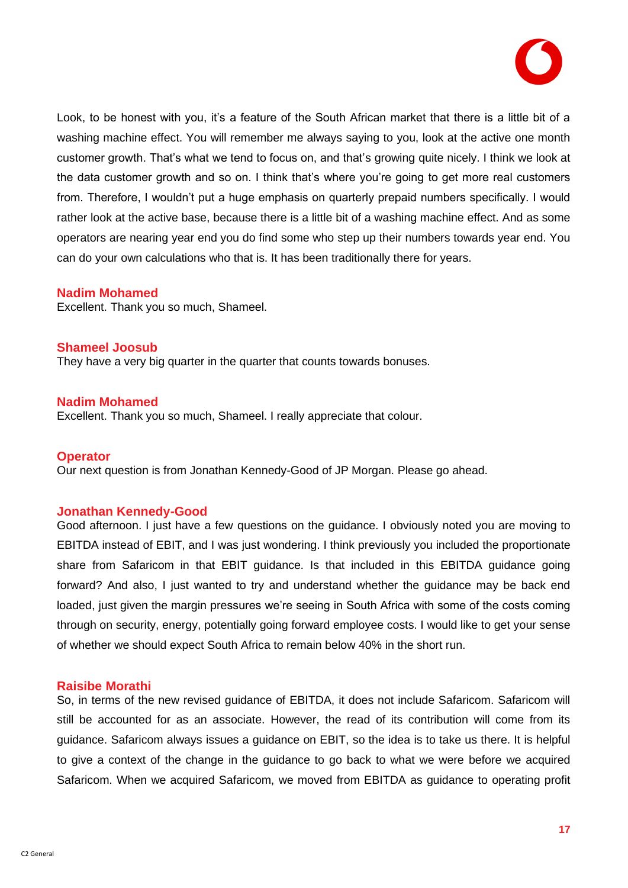

Look, to be honest with you, it's a feature of the South African market that there is a little bit of a washing machine effect. You will remember me always saying to you, look at the active one month customer growth. That's what we tend to focus on, and that's growing quite nicely. I think we look at the data customer growth and so on. I think that's where you're going to get more real customers from. Therefore, I wouldn't put a huge emphasis on quarterly prepaid numbers specifically. I would rather look at the active base, because there is a little bit of a washing machine effect. And as some operators are nearing year end you do find some who step up their numbers towards year end. You can do your own calculations who that is. It has been traditionally there for years.

#### **Nadim Mohamed**

Excellent. Thank you so much, Shameel.

**Shameel Joosub**  They have a very big quarter in the quarter that counts towards bonuses.

#### **Nadim Mohamed**

Excellent. Thank you so much, Shameel. I really appreciate that colour.

#### **Operator**

Our next question is from Jonathan Kennedy-Good of JP Morgan. Please go ahead.

## **Jonathan Kennedy-Good**

Good afternoon. I just have a few questions on the guidance. I obviously noted you are moving to EBITDA instead of EBIT, and I was just wondering. I think previously you included the proportionate share from Safaricom in that EBIT guidance. Is that included in this EBITDA guidance going forward? And also, I just wanted to try and understand whether the guidance may be back end loaded, just given the margin pressures we're seeing in South Africa with some of the costs coming through on security, energy, potentially going forward employee costs. I would like to get your sense of whether we should expect South Africa to remain below 40% in the short run.

#### **Raisibe Morathi**

So, in terms of the new revised guidance of EBITDA, it does not include Safaricom. Safaricom will still be accounted for as an associate. However, the read of its contribution will come from its guidance. Safaricom always issues a guidance on EBIT, so the idea is to take us there. It is helpful to give a context of the change in the guidance to go back to what we were before we acquired Safaricom. When we acquired Safaricom, we moved from EBITDA as guidance to operating profit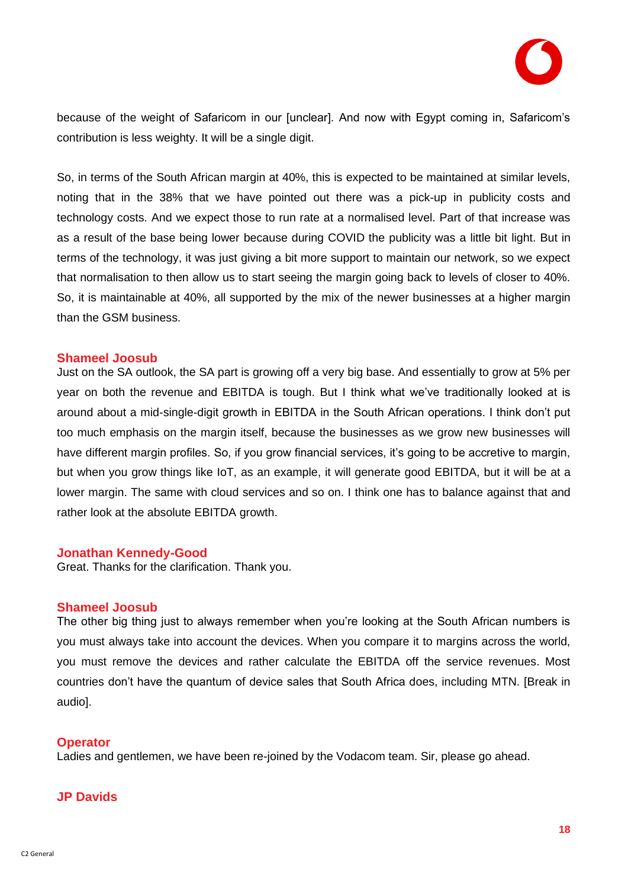

because of the weight of Safaricom in our [unclear]. And now with Egypt coming in, Safaricom's contribution is less weighty. It will be a single digit.

So, in terms of the South African margin at 40%, this is expected to be maintained at similar levels, noting that in the 38% that we have pointed out there was a pick-up in publicity costs and technology costs. And we expect those to run rate at a normalised level. Part of that increase was as a result of the base being lower because during COVID the publicity was a little bit light. But in terms of the technology, it was just giving a bit more support to maintain our network, so we expect that normalisation to then allow us to start seeing the margin going back to levels of closer to 40%. So, it is maintainable at 40%, all supported by the mix of the newer businesses at a higher margin than the GSM business.

#### **Shameel Joosub**

Just on the SA outlook, the SA part is growing off a very big base. And essentially to grow at 5% per year on both the revenue and EBITDA is tough. But I think what we've traditionally looked at is around about a mid-single-digit growth in EBITDA in the South African operations. I think don't put too much emphasis on the margin itself, because the businesses as we grow new businesses will have different margin profiles. So, if you grow financial services, it's going to be accretive to margin, but when you grow things like IoT, as an example, it will generate good EBITDA, but it will be at a lower margin. The same with cloud services and so on. I think one has to balance against that and rather look at the absolute EBITDA growth.

#### **Jonathan Kennedy-Good**

Great. Thanks for the clarification. Thank you.

#### **Shameel Joosub**

The other big thing just to always remember when you're looking at the South African numbers is you must always take into account the devices. When you compare it to margins across the world, you must remove the devices and rather calculate the EBITDA off the service revenues. Most countries don't have the quantum of device sales that South Africa does, including MTN. [Break in audio].

#### **Operator**

Ladies and gentlemen, we have been re-joined by the Vodacom team. Sir, please go ahead.

#### **JP Davids**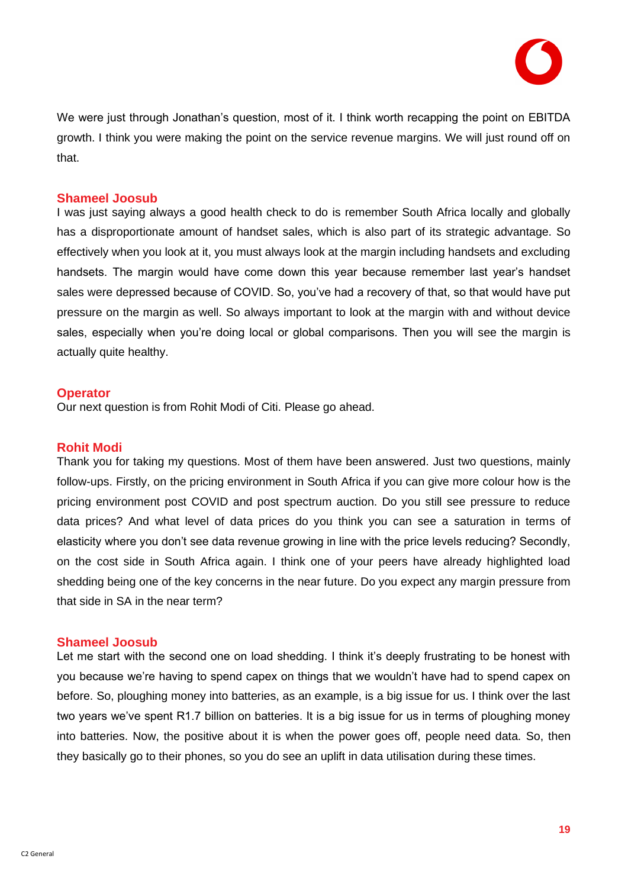

We were just through Jonathan's question, most of it. I think worth recapping the point on EBITDA growth. I think you were making the point on the service revenue margins. We will just round off on that.

#### **Shameel Joosub**

I was just saying always a good health check to do is remember South Africa locally and globally has a disproportionate amount of handset sales, which is also part of its strategic advantage. So effectively when you look at it, you must always look at the margin including handsets and excluding handsets. The margin would have come down this year because remember last year's handset sales were depressed because of COVID. So, you've had a recovery of that, so that would have put pressure on the margin as well. So always important to look at the margin with and without device sales, especially when you're doing local or global comparisons. Then you will see the margin is actually quite healthy.

#### **Operator**

Our next question is from Rohit Modi of Citi. Please go ahead.

#### **Rohit Modi**

Thank you for taking my questions. Most of them have been answered. Just two questions, mainly follow-ups. Firstly, on the pricing environment in South Africa if you can give more colour how is the pricing environment post COVID and post spectrum auction. Do you still see pressure to reduce data prices? And what level of data prices do you think you can see a saturation in terms of elasticity where you don't see data revenue growing in line with the price levels reducing? Secondly, on the cost side in South Africa again. I think one of your peers have already highlighted load shedding being one of the key concerns in the near future. Do you expect any margin pressure from that side in SA in the near term?

#### **Shameel Joosub**

Let me start with the second one on load shedding. I think it's deeply frustrating to be honest with you because we're having to spend capex on things that we wouldn't have had to spend capex on before. So, ploughing money into batteries, as an example, is a big issue for us. I think over the last two years we've spent R1.7 billion on batteries. It is a big issue for us in terms of ploughing money into batteries. Now, the positive about it is when the power goes off, people need data. So, then they basically go to their phones, so you do see an uplift in data utilisation during these times.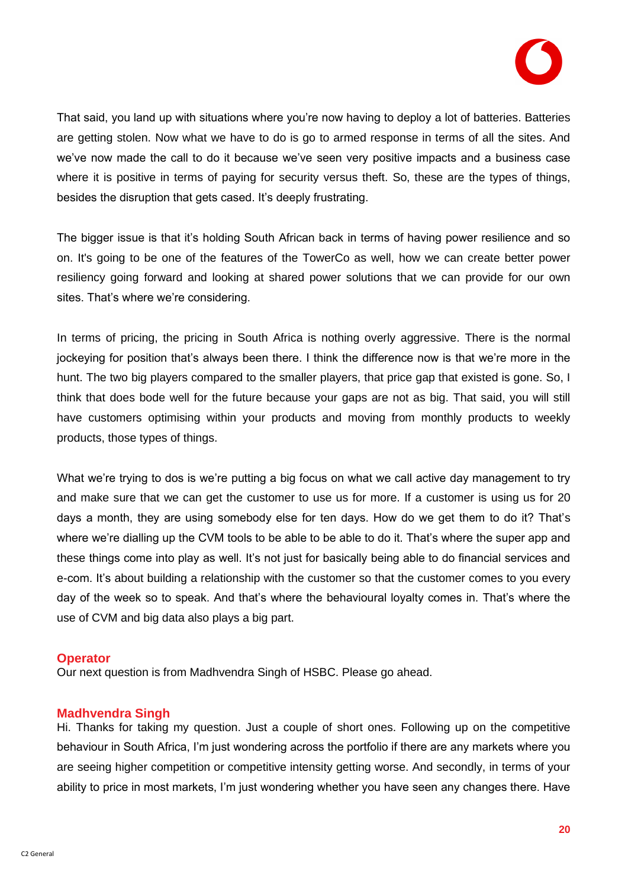

That said, you land up with situations where you're now having to deploy a lot of batteries. Batteries are getting stolen. Now what we have to do is go to armed response in terms of all the sites. And we've now made the call to do it because we've seen very positive impacts and a business case where it is positive in terms of paying for security versus theft. So, these are the types of things, besides the disruption that gets cased. It's deeply frustrating.

The bigger issue is that it's holding South African back in terms of having power resilience and so on. It's going to be one of the features of the TowerCo as well, how we can create better power resiliency going forward and looking at shared power solutions that we can provide for our own sites. That's where we're considering.

In terms of pricing, the pricing in South Africa is nothing overly aggressive. There is the normal jockeying for position that's always been there. I think the difference now is that we're more in the hunt. The two big players compared to the smaller players, that price gap that existed is gone. So, I think that does bode well for the future because your gaps are not as big. That said, you will still have customers optimising within your products and moving from monthly products to weekly products, those types of things.

What we're trying to dos is we're putting a big focus on what we call active day management to try and make sure that we can get the customer to use us for more. If a customer is using us for 20 days a month, they are using somebody else for ten days. How do we get them to do it? That's where we're dialling up the CVM tools to be able to be able to do it. That's where the super app and these things come into play as well. It's not just for basically being able to do financial services and e-com. It's about building a relationship with the customer so that the customer comes to you every day of the week so to speak. And that's where the behavioural loyalty comes in. That's where the use of CVM and big data also plays a big part.

#### **Operator**

Our next question is from Madhvendra Singh of HSBC. Please go ahead.

#### **Madhvendra Singh**

Hi. Thanks for taking my question. Just a couple of short ones. Following up on the competitive behaviour in South Africa, I'm just wondering across the portfolio if there are any markets where you are seeing higher competition or competitive intensity getting worse. And secondly, in terms of your ability to price in most markets, I'm just wondering whether you have seen any changes there. Have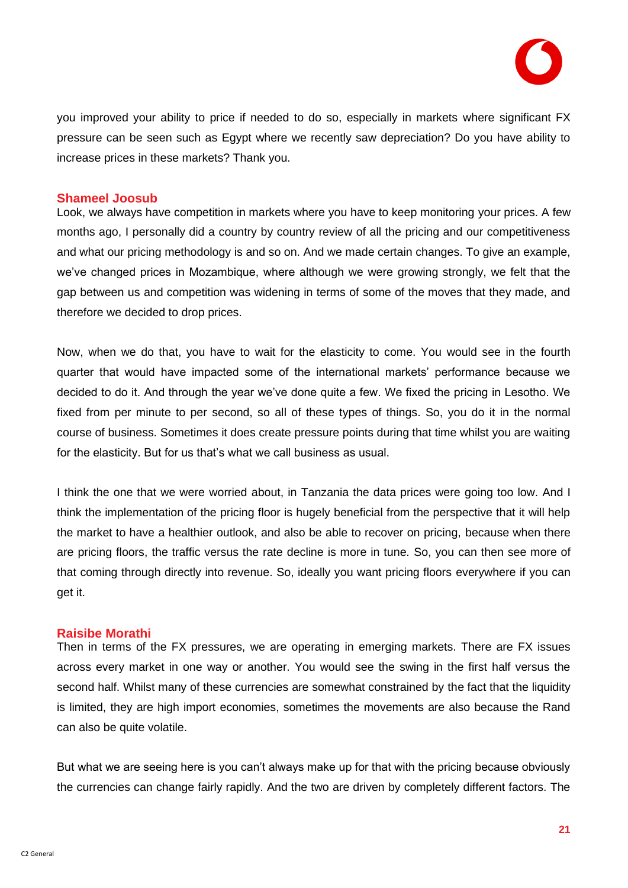

you improved your ability to price if needed to do so, especially in markets where significant FX pressure can be seen such as Egypt where we recently saw depreciation? Do you have ability to increase prices in these markets? Thank you.

#### **Shameel Joosub**

Look, we always have competition in markets where you have to keep monitoring your prices. A few months ago, I personally did a country by country review of all the pricing and our competitiveness and what our pricing methodology is and so on. And we made certain changes. To give an example, we've changed prices in Mozambique, where although we were growing strongly, we felt that the gap between us and competition was widening in terms of some of the moves that they made, and therefore we decided to drop prices.

Now, when we do that, you have to wait for the elasticity to come. You would see in the fourth quarter that would have impacted some of the international markets' performance because we decided to do it. And through the year we've done quite a few. We fixed the pricing in Lesotho. We fixed from per minute to per second, so all of these types of things. So, you do it in the normal course of business. Sometimes it does create pressure points during that time whilst you are waiting for the elasticity. But for us that's what we call business as usual.

I think the one that we were worried about, in Tanzania the data prices were going too low. And I think the implementation of the pricing floor is hugely beneficial from the perspective that it will help the market to have a healthier outlook, and also be able to recover on pricing, because when there are pricing floors, the traffic versus the rate decline is more in tune. So, you can then see more of that coming through directly into revenue. So, ideally you want pricing floors everywhere if you can get it.

#### **Raisibe Morathi**

Then in terms of the FX pressures, we are operating in emerging markets. There are FX issues across every market in one way or another. You would see the swing in the first half versus the second half. Whilst many of these currencies are somewhat constrained by the fact that the liquidity is limited, they are high import economies, sometimes the movements are also because the Rand can also be quite volatile.

But what we are seeing here is you can't always make up for that with the pricing because obviously the currencies can change fairly rapidly. And the two are driven by completely different factors. The